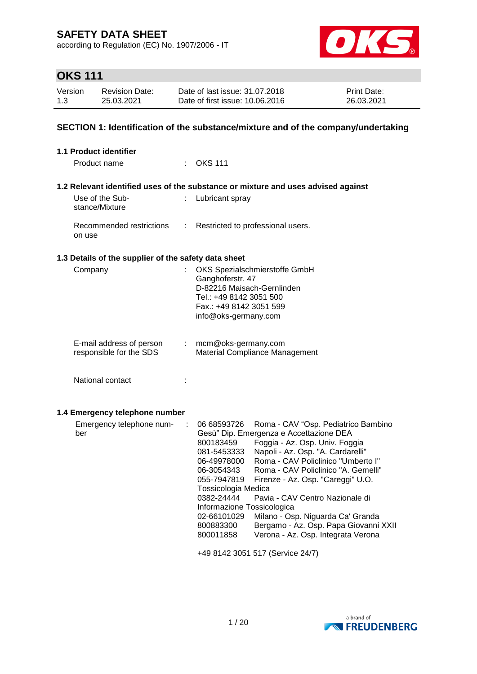according to Regulation (EC) No. 1907/2006 - IT



# **OKS 111**

| Version | Revision Date: | Date of last issue: 31.07.2018  | <b>Print Date:</b> |
|---------|----------------|---------------------------------|--------------------|
| 1.3     | 25.03.2021     | Date of first issue: 10.06.2016 | 26.03.2021         |

#### **SECTION 1: Identification of the substance/mixture and of the company/undertaking**

| 1.1 Product identifier                               |                                                                                                                                                                                                                                                                                                                                                                                                                                                                                                                                                                                                                                                                       |
|------------------------------------------------------|-----------------------------------------------------------------------------------------------------------------------------------------------------------------------------------------------------------------------------------------------------------------------------------------------------------------------------------------------------------------------------------------------------------------------------------------------------------------------------------------------------------------------------------------------------------------------------------------------------------------------------------------------------------------------|
| Product name                                         | $:$ OKS 111                                                                                                                                                                                                                                                                                                                                                                                                                                                                                                                                                                                                                                                           |
|                                                      | 1.2 Relevant identified uses of the substance or mixture and uses advised against                                                                                                                                                                                                                                                                                                                                                                                                                                                                                                                                                                                     |
| Use of the Sub-<br>÷<br>stance/Mixture               | Lubricant spray                                                                                                                                                                                                                                                                                                                                                                                                                                                                                                                                                                                                                                                       |
| Recommended restrictions<br>÷<br>on use              | Restricted to professional users.                                                                                                                                                                                                                                                                                                                                                                                                                                                                                                                                                                                                                                     |
| 1.3 Details of the supplier of the safety data sheet |                                                                                                                                                                                                                                                                                                                                                                                                                                                                                                                                                                                                                                                                       |
| Company<br>ł.                                        | OKS Spezialschmierstoffe GmbH<br>Ganghoferstr. 47<br>D-82216 Maisach-Gernlinden<br>Tel.: +49 8142 3051 500<br>Fax.: +49 8142 3051 599<br>info@oks-germany.com                                                                                                                                                                                                                                                                                                                                                                                                                                                                                                         |
| E-mail address of person<br>responsible for the SDS  | mcm@oks-germany.com<br><b>Material Compliance Management</b>                                                                                                                                                                                                                                                                                                                                                                                                                                                                                                                                                                                                          |
| National contact                                     |                                                                                                                                                                                                                                                                                                                                                                                                                                                                                                                                                                                                                                                                       |
| 1.4 Emergency telephone number                       |                                                                                                                                                                                                                                                                                                                                                                                                                                                                                                                                                                                                                                                                       |
| Emergency telephone num-<br>÷<br>ber                 | 06 68593726<br>Roma - CAV "Osp. Pediatrico Bambino<br>Gesù" Dip. Emergenza e Accettazione DEA<br>800183459<br>Foggia - Az. Osp. Univ. Foggia<br>Napoli - Az. Osp. "A. Cardarelli"<br>081-5453333<br>Roma - CAV Policlinico "Umberto I"<br>06-49978000<br>Roma - CAV Policlinico "A. Gemelli"<br>06-3054343<br>055-7947819<br>Firenze - Az. Osp. "Careggi" U.O.<br>Tossicologia Medica<br>Pavia - CAV Centro Nazionale di<br>0382-24444<br>Informazione Tossicologica<br>Milano - Osp. Niguarda Ca' Granda<br>02-66101029<br>800883300<br>Bergamo - Az. Osp. Papa Giovanni XXII<br>Verona - Az. Osp. Integrata Verona<br>800011858<br>+49 8142 3051 517 (Service 24/7) |

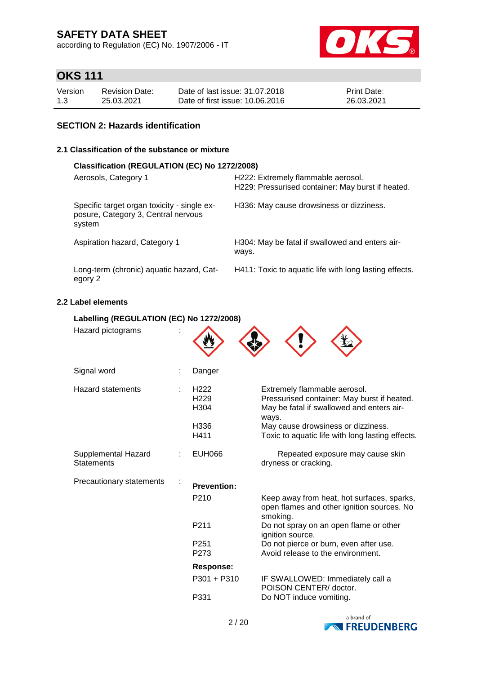according to Regulation (EC) No. 1907/2006 - IT



# **OKS 111**

| Version | <b>Revision Date:</b> | Date of last issue: 31.07.2018  | <b>Print Date:</b> |
|---------|-----------------------|---------------------------------|--------------------|
| 1.3     | 25.03.2021            | Date of first issue: 10.06.2016 | 26.03.2021         |

#### **SECTION 2: Hazards identification**

#### **2.1 Classification of the substance or mixture**

| Classification (REGULATION (EC) No 1272/2008)                                                |                                                                                         |  |  |  |  |
|----------------------------------------------------------------------------------------------|-----------------------------------------------------------------------------------------|--|--|--|--|
| Aerosols, Category 1                                                                         | H222: Extremely flammable aerosol.<br>H229: Pressurised container: May burst if heated. |  |  |  |  |
| Specific target organ toxicity - single ex-<br>posure, Category 3, Central nervous<br>system | H336: May cause drowsiness or dizziness.                                                |  |  |  |  |
| Aspiration hazard, Category 1                                                                | H304: May be fatal if swallowed and enters air-<br>ways.                                |  |  |  |  |
| Long-term (chronic) aquatic hazard, Cat-<br>egory 2                                          | H411: Toxic to aquatic life with long lasting effects.                                  |  |  |  |  |

#### **2.2 Label elements**

#### **Labelling (REGULATION (EC) No 1272/2008)**

| Hazard pictograms                        |                                                              |                                                                                                                                                                                                                             |
|------------------------------------------|--------------------------------------------------------------|-----------------------------------------------------------------------------------------------------------------------------------------------------------------------------------------------------------------------------|
| Signal word                              | Danger                                                       |                                                                                                                                                                                                                             |
| <b>Hazard statements</b>                 | H <sub>222</sub><br>H <sub>229</sub><br>H304<br>H336<br>H411 | Extremely flammable aerosol.<br>Pressurised container: May burst if heated.<br>May be fatal if swallowed and enters air-<br>ways.<br>May cause drowsiness or dizziness.<br>Toxic to aquatic life with long lasting effects. |
| Supplemental Hazard<br><b>Statements</b> | <b>EUH066</b>                                                | Repeated exposure may cause skin<br>dryness or cracking.                                                                                                                                                                    |
| Precautionary statements                 | <b>Prevention:</b>                                           |                                                                                                                                                                                                                             |
|                                          | P <sub>210</sub>                                             | Keep away from heat, hot surfaces, sparks,<br>open flames and other ignition sources. No<br>smoking.                                                                                                                        |
|                                          | P <sub>211</sub>                                             | Do not spray on an open flame or other<br>ignition source.                                                                                                                                                                  |
|                                          | P <sub>251</sub><br>P273                                     | Do not pierce or burn, even after use.<br>Avoid release to the environment.                                                                                                                                                 |
|                                          | <b>Response:</b>                                             |                                                                                                                                                                                                                             |
|                                          | $P301 + P310$                                                | IF SWALLOWED: Immediately call a<br>POISON CENTER/ doctor.                                                                                                                                                                  |
|                                          | P331                                                         | Do NOT induce vomiting.                                                                                                                                                                                                     |

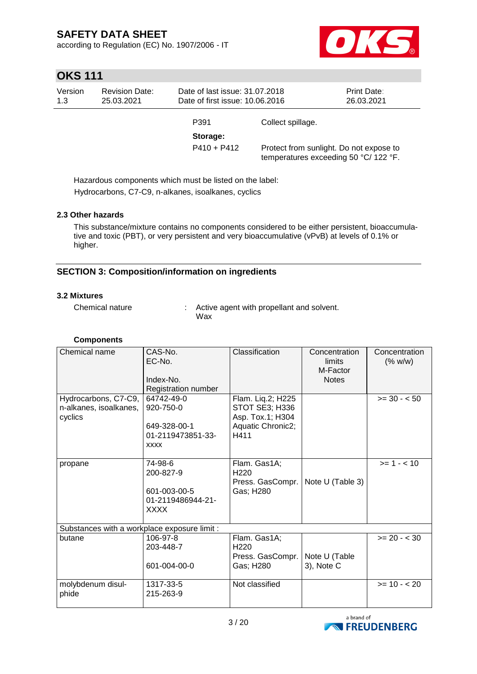according to Regulation (EC) No. 1907/2006 - IT



# **OKS 111**

| Version<br>1.3 | <b>Revision Date:</b><br>25.03.2021 | Date of last issue: 31.07.2018<br>Date of first issue: 10.06.2016 |                   | <b>Print Date:</b><br>26.03.2021                                                 |
|----------------|-------------------------------------|-------------------------------------------------------------------|-------------------|----------------------------------------------------------------------------------|
|                |                                     | P391                                                              | Collect spillage. |                                                                                  |
|                |                                     | Storage:                                                          |                   |                                                                                  |
|                |                                     | $P410 + P412$                                                     |                   | Protect from sunlight. Do not expose to<br>temperatures exceeding 50 °C/ 122 °F. |

Hazardous components which must be listed on the label: Hydrocarbons, C7-C9, n-alkanes, isoalkanes, cyclics

#### **2.3 Other hazards**

This substance/mixture contains no components considered to be either persistent, bioaccumulative and toxic (PBT), or very persistent and very bioaccumulative (vPvB) at levels of 0.1% or higher.

#### **SECTION 3: Composition/information on ingredients**

#### **3.2 Mixtures**

Chemical nature : Active agent with propellant and solvent. Wax

| <b>Components</b>                              |                         |                                     |                  |                |
|------------------------------------------------|-------------------------|-------------------------------------|------------------|----------------|
| Chemical name                                  | $CAS-N0$ .              | Classification                      | Concentration    | Concentration  |
|                                                | EC-No.                  |                                     | limits           | (% w/w)        |
|                                                |                         |                                     | M-Factor         |                |
|                                                | Index-No.               |                                     | <b>Notes</b>     |                |
|                                                | Registration number     |                                     |                  |                |
| Hydrocarbons, C7-C9,<br>n-alkanes, isoalkanes, | 64742-49-0<br>920-750-0 | Flam. Liq.2; H225<br>STOT SE3; H336 |                  | $>= 30 - 50$   |
| cyclics                                        |                         | Asp. Tox.1; H304                    |                  |                |
|                                                | 649-328-00-1            | Aquatic Chronic2;                   |                  |                |
|                                                | 01-2119473851-33-       | H411                                |                  |                |
|                                                | <b>XXXX</b>             |                                     |                  |                |
|                                                |                         |                                     |                  |                |
| propane                                        | 74-98-6                 | Flam. Gas1A;                        |                  | $>= 1 - 10$    |
|                                                | 200-827-9               | H <sub>220</sub>                    |                  |                |
|                                                | 601-003-00-5            | Press. GasCompr.<br>Gas; H280       | Note U (Table 3) |                |
|                                                | 01-2119486944-21-       |                                     |                  |                |
|                                                | <b>XXXX</b>             |                                     |                  |                |
|                                                |                         |                                     |                  |                |
| Substances with a workplace exposure limit :   |                         |                                     |                  |                |
| butane                                         | 106-97-8                | Flam. Gas1A;                        |                  | $>= 20 - < 30$ |
|                                                | 203-448-7               | H <sub>220</sub>                    |                  |                |
|                                                |                         | Press. GasCompr.                    | Note U (Table    |                |
|                                                | 601-004-00-0            | Gas; H280                           | 3), Note C       |                |
| molybdenum disul-                              | 1317-33-5               | Not classified                      |                  | $>= 10 - 20$   |
| phide                                          | 215-263-9               |                                     |                  |                |
|                                                |                         |                                     |                  |                |
|                                                |                         |                                     | a brand of       |                |

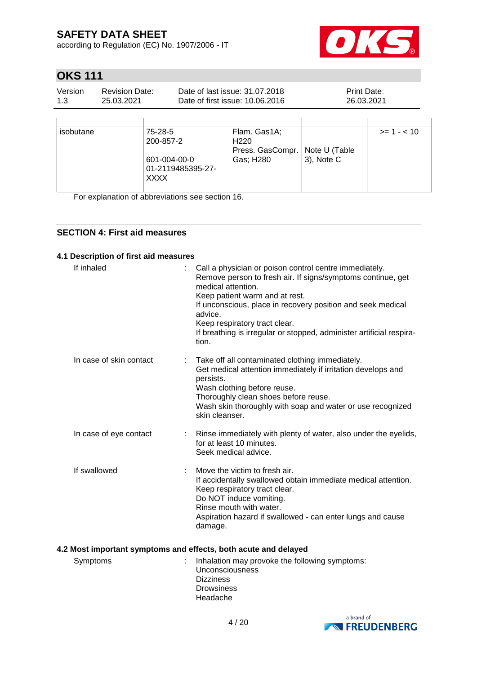according to Regulation (EC) No. 1907/2006 - IT



# **OKS 111**

| Version | <b>Revision Date:</b> | Date of last issue: 31.07.2018  | <b>Print Date:</b> |
|---------|-----------------------|---------------------------------|--------------------|
| 1.3     | 25.03.2021            | Date of first issue: 10.06.2016 | 26.03.2021         |
|         |                       |                                 |                    |

| isobutane | 75-28-5           | Flam. Gas1A;                                         |               | $>= 1 - 10$ |
|-----------|-------------------|------------------------------------------------------|---------------|-------------|
|           | 200-857-2         | H <sub>220</sub><br>Press. GasCompr.   Note U (Table |               |             |
|           | 601-004-00-0      | Gas; H280                                            | $3$ ), Note C |             |
|           | 01-2119485395-27- |                                                      |               |             |
|           | <b>XXXX</b>       |                                                      |               |             |

For explanation of abbreviations see section 16.

#### **SECTION 4: First aid measures**

#### **4.1 Description of first aid measures**

| If inhaled              | Call a physician or poison control centre immediately.<br>Remove person to fresh air. If signs/symptoms continue, get<br>medical attention.<br>Keep patient warm and at rest.<br>If unconscious, place in recovery position and seek medical<br>advice.<br>Keep respiratory tract clear.<br>If breathing is irregular or stopped, administer artificial respira-<br>tion. |
|-------------------------|---------------------------------------------------------------------------------------------------------------------------------------------------------------------------------------------------------------------------------------------------------------------------------------------------------------------------------------------------------------------------|
| In case of skin contact | Take off all contaminated clothing immediately.<br>t.<br>Get medical attention immediately if irritation develops and<br>persists.<br>Wash clothing before reuse.<br>Thoroughly clean shoes before reuse.<br>Wash skin thoroughly with soap and water or use recognized<br>skin cleanser.                                                                                 |
| In case of eye contact  | Rinse immediately with plenty of water, also under the eyelids,<br>÷<br>for at least 10 minutes.<br>Seek medical advice.                                                                                                                                                                                                                                                  |
| If swallowed            | Move the victim to fresh air.<br>If accidentally swallowed obtain immediate medical attention.<br>Keep respiratory tract clear.<br>Do NOT induce vomiting.<br>Rinse mouth with water.<br>Aspiration hazard if swallowed - can enter lungs and cause<br>damage.                                                                                                            |
|                         | 4.2 Most important symptoms and effects, both acute and delayed                                                                                                                                                                                                                                                                                                           |

| Headache | Symptoms | Inhalation may provoke the following symptoms:<br><b>Unconsciousness</b><br><b>Dizziness</b><br><b>Drowsiness</b> |
|----------|----------|-------------------------------------------------------------------------------------------------------------------|
|          |          |                                                                                                                   |
|          |          |                                                                                                                   |

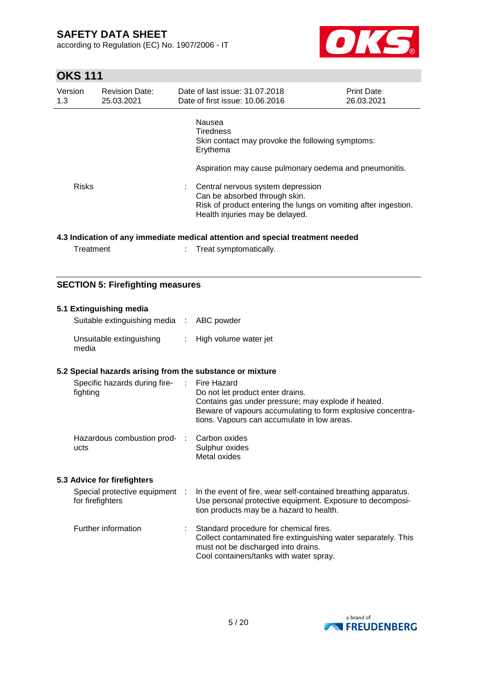according to Regulation (EC) No. 1907/2006 - IT



### **OKS 111**

| Version<br>1.3 | <b>Revision Date:</b><br>25.03.2021 |        | Date of last issue: 31.07.2018<br>Date of first issue: 10.06.2016                                                                                                        | <b>Print Date:</b><br>26.03.2021 |
|----------------|-------------------------------------|--------|--------------------------------------------------------------------------------------------------------------------------------------------------------------------------|----------------------------------|
|                |                                     | Nausea | <b>Tiredness</b><br>Skin contact may provoke the following symptoms:<br>Erythema                                                                                         |                                  |
|                |                                     |        | Aspiration may cause pulmonary oedema and pneumonitis.                                                                                                                   |                                  |
| <b>Risks</b>   |                                     |        | Central nervous system depression<br>Can be absorbed through skin.<br>Risk of product entering the lungs on vomiting after ingestion.<br>Health injuries may be delayed. |                                  |

#### **4.3 Indication of any immediate medical attention and special treatment needed**

| Treatment | Treat symptomatically. |
|-----------|------------------------|
|-----------|------------------------|

#### **SECTION 5: Firefighting measures**

#### **5.1 Extinguishing media** Suitable extinguishing media : ABC powder Unsuitable extinguishing media : High volume water jet **5.2 Special hazards arising from the substance or mixture** Specific hazards during firefighting : Fire Hazard Do not let product enter drains. Contains gas under pressure; may explode if heated. Beware of vapours accumulating to form explosive concentrations. Vapours can accumulate in low areas. Hazardous combustion prod- : ucts Carbon oxides Sulphur oxides Metal oxides **5.3 Advice for firefighters** Special protective equipment : for firefighters : In the event of fire, wear self-contained breathing apparatus. Use personal protective equipment. Exposure to decomposition products may be a hazard to health. Further information : Standard procedure for chemical fires. Collect contaminated fire extinguishing water separately. This must not be discharged into drains. Cool containers/tanks with water spray.

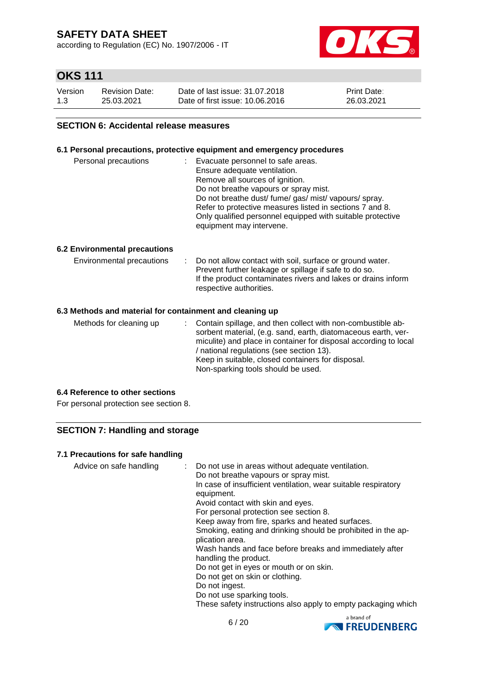according to Regulation (EC) No. 1907/2006 - IT



### **OKS 111**

| Version | <b>Revision Date:</b> | Date of last issue: 31.07.2018  | <b>Print Date:</b> |
|---------|-----------------------|---------------------------------|--------------------|
| 1.3     | 25.03.2021            | Date of first issue: 10.06.2016 | 26.03.2021         |

#### **SECTION 6: Accidental release measures**

#### **6.1 Personal precautions, protective equipment and emergency procedures**

| Personal precautions | : Evacuate personnel to safe areas.<br>Ensure adequate ventilation.<br>Remove all sources of ignition.<br>Do not breathe vapours or spray mist.<br>Do not breathe dust/fume/gas/mist/vapours/spray.<br>Refer to protective measures listed in sections 7 and 8.<br>Only qualified personnel equipped with suitable protective |
|----------------------|-------------------------------------------------------------------------------------------------------------------------------------------------------------------------------------------------------------------------------------------------------------------------------------------------------------------------------|
|                      | equipment may intervene.                                                                                                                                                                                                                                                                                                      |

#### **6.2 Environmental precautions**

| Environmental precautions |  | : Do not allow contact with soil, surface or ground water.<br>Prevent further leakage or spillage if safe to do so.<br>If the product contaminates rivers and lakes or drains inform<br>respective authorities. |
|---------------------------|--|-----------------------------------------------------------------------------------------------------------------------------------------------------------------------------------------------------------------|
|---------------------------|--|-----------------------------------------------------------------------------------------------------------------------------------------------------------------------------------------------------------------|

#### **6.3 Methods and material for containment and cleaning up**

| Methods for cleaning up |  | : Contain spillage, and then collect with non-combustible ab-<br>sorbent material, (e.g. sand, earth, diatomaceous earth, ver-<br>miculite) and place in container for disposal according to local<br>/ national regulations (see section 13).<br>Keep in suitable, closed containers for disposal.<br>Non-sparking tools should be used. |
|-------------------------|--|-------------------------------------------------------------------------------------------------------------------------------------------------------------------------------------------------------------------------------------------------------------------------------------------------------------------------------------------|
|-------------------------|--|-------------------------------------------------------------------------------------------------------------------------------------------------------------------------------------------------------------------------------------------------------------------------------------------------------------------------------------------|

#### **6.4 Reference to other sections**

For personal protection see section 8.

#### **SECTION 7: Handling and storage**

#### **7.1 Precautions for safe handling**

| Advice on safe handling |  | : Do not use in areas without adequate ventilation.<br>Do not breathe vapours or spray mist.<br>In case of insufficient ventilation, wear suitable respiratory<br>equipment.<br>Avoid contact with skin and eyes.<br>For personal protection see section 8.<br>Keep away from fire, sparks and heated surfaces.<br>Smoking, eating and drinking should be prohibited in the ap-<br>plication area.<br>Wash hands and face before breaks and immediately after<br>handling the product.<br>Do not get in eyes or mouth or on skin.<br>Do not get on skin or clothing.<br>Do not ingest.<br>Do not use sparking tools.<br>These safety instructions also apply to empty packaging which |
|-------------------------|--|---------------------------------------------------------------------------------------------------------------------------------------------------------------------------------------------------------------------------------------------------------------------------------------------------------------------------------------------------------------------------------------------------------------------------------------------------------------------------------------------------------------------------------------------------------------------------------------------------------------------------------------------------------------------------------------|
|-------------------------|--|---------------------------------------------------------------------------------------------------------------------------------------------------------------------------------------------------------------------------------------------------------------------------------------------------------------------------------------------------------------------------------------------------------------------------------------------------------------------------------------------------------------------------------------------------------------------------------------------------------------------------------------------------------------------------------------|

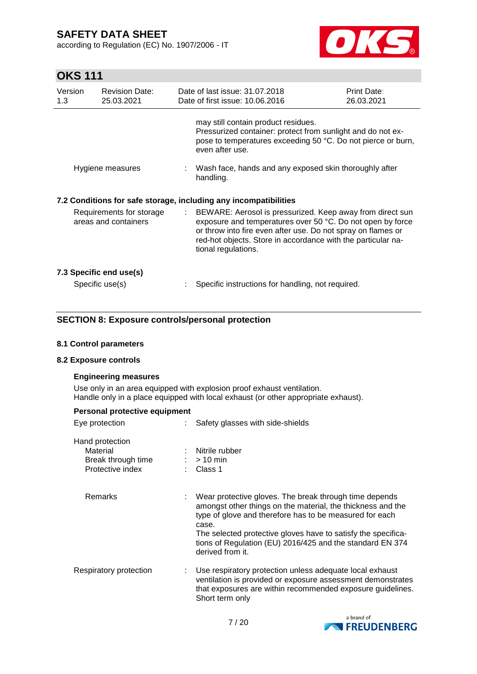according to Regulation (EC) No. 1907/2006 - IT



# **OKS 111**

| Version<br>1.3                                   | <b>Revision Date:</b><br>25.03.2021 |  | Date of last issue: 31.07.2018<br>Date of first issue: 10.06.2016                                                                                                                                                                                                                | Print Date:<br>26.03.2021 |  |
|--------------------------------------------------|-------------------------------------|--|----------------------------------------------------------------------------------------------------------------------------------------------------------------------------------------------------------------------------------------------------------------------------------|---------------------------|--|
|                                                  |                                     |  | may still contain product residues.<br>Pressurized container: protect from sunlight and do not ex-<br>pose to temperatures exceeding 50 °C. Do not pierce or burn,<br>even after use.                                                                                            |                           |  |
| Hygiene measures                                 |                                     |  | Wash face, hands and any exposed skin thoroughly after<br>handling.                                                                                                                                                                                                              |                           |  |
|                                                  |                                     |  | 7.2 Conditions for safe storage, including any incompatibilities                                                                                                                                                                                                                 |                           |  |
| Requirements for storage<br>areas and containers |                                     |  | : BEWARE: Aerosol is pressurized. Keep away from direct sun<br>exposure and temperatures over 50 °C. Do not open by force<br>or throw into fire even after use. Do not spray on flames or<br>red-hot objects. Store in accordance with the particular na-<br>tional regulations. |                           |  |
| 7.3 Specific end use(s)<br>Specific use(s)       |                                     |  | Specific instructions for handling, not required.                                                                                                                                                                                                                                |                           |  |
|                                                  |                                     |  |                                                                                                                                                                                                                                                                                  |                           |  |

#### **SECTION 8: Exposure controls/personal protection**

#### **8.1 Control parameters**

#### **8.2 Exposure controls**

#### **Engineering measures**

Use only in an area equipped with explosion proof exhaust ventilation. Handle only in a place equipped with local exhaust (or other appropriate exhaust).

| Personal protective equipment                                         |                                                                                                                                                                                                                                                                                                                                             |  |  |  |  |  |
|-----------------------------------------------------------------------|---------------------------------------------------------------------------------------------------------------------------------------------------------------------------------------------------------------------------------------------------------------------------------------------------------------------------------------------|--|--|--|--|--|
| Eye protection                                                        | Safety glasses with side-shields                                                                                                                                                                                                                                                                                                            |  |  |  |  |  |
| Hand protection<br>Material<br>Break through time<br>Protective index | : Nitrile rubber<br>$:$ > 10 min<br>$\therefore$ Class 1                                                                                                                                                                                                                                                                                    |  |  |  |  |  |
| Remarks                                                               | Wear protective gloves. The break through time depends<br>amongst other things on the material, the thickness and the<br>type of glove and therefore has to be measured for each<br>case.<br>The selected protective gloves have to satisfy the specifica-<br>tions of Regulation (EU) 2016/425 and the standard EN 374<br>derived from it. |  |  |  |  |  |
| Respiratory protection                                                | Use respiratory protection unless adequate local exhaust<br>ventilation is provided or exposure assessment demonstrates<br>that exposures are within recommended exposure guidelines.<br>Short term only                                                                                                                                    |  |  |  |  |  |

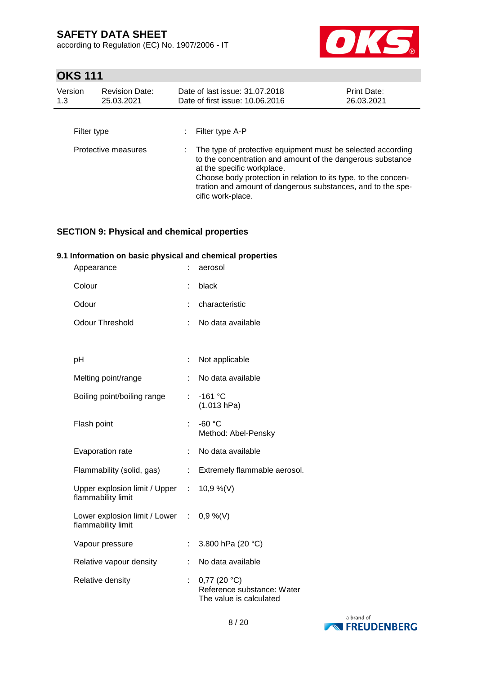according to Regulation (EC) No. 1907/2006 - IT



# **OKS 111**

| Version<br>1.3 | <b>Revision Date:</b><br>25.03.2021 | Date of last issue: 31.07.2018<br>Date of first issue: 10.06.2016                                                                                                                                                                                                                                             | <b>Print Date:</b><br>26.03.2021 |
|----------------|-------------------------------------|---------------------------------------------------------------------------------------------------------------------------------------------------------------------------------------------------------------------------------------------------------------------------------------------------------------|----------------------------------|
| Filter type    |                                     | Filter type A-P                                                                                                                                                                                                                                                                                               |                                  |
|                | Protective measures                 | The type of protective equipment must be selected according<br>to the concentration and amount of the dangerous substance<br>at the specific workplace.<br>Choose body protection in relation to its type, to the concen-<br>tration and amount of dangerous substances, and to the spe-<br>cific work-place. |                                  |

#### **SECTION 9: Physical and chemical properties**

#### **9.1 Information on basic physical and chemical properties**

| Appearance                                            |                       | aerosol                                                                           |
|-------------------------------------------------------|-----------------------|-----------------------------------------------------------------------------------|
| Colour                                                | t                     | black                                                                             |
| Odour                                                 |                       | characteristic                                                                    |
| <b>Odour Threshold</b>                                |                       | No data available                                                                 |
|                                                       |                       |                                                                                   |
| рH                                                    | ÷                     | Not applicable                                                                    |
| Melting point/range                                   |                       | No data available                                                                 |
| Boiling point/boiling range                           | t.                    | $-161$ °C<br>(1.013 hPa)                                                          |
| Flash point                                           | ÷                     | $-60 °C$<br>Method: Abel-Pensky                                                   |
| Evaporation rate                                      | t.                    | No data available                                                                 |
| Flammability (solid, gas)                             | ÷                     | Extremely flammable aerosol.                                                      |
| Upper explosion limit / Upper :<br>flammability limit |                       | 10,9 %(V)                                                                         |
| Lower explosion limit / Lower<br>flammability limit   | $\mathbb{Z}^{\times}$ | $0,9\%$ (V)                                                                       |
| Vapour pressure                                       | t                     | 3.800 hPa (20 °C)                                                                 |
| Relative vapour density                               | ÷                     | No data available                                                                 |
| Relative density                                      | Ì.                    | $0,77$ (20 $^{\circ}$ C)<br>Reference substance: Water<br>The value is calculated |

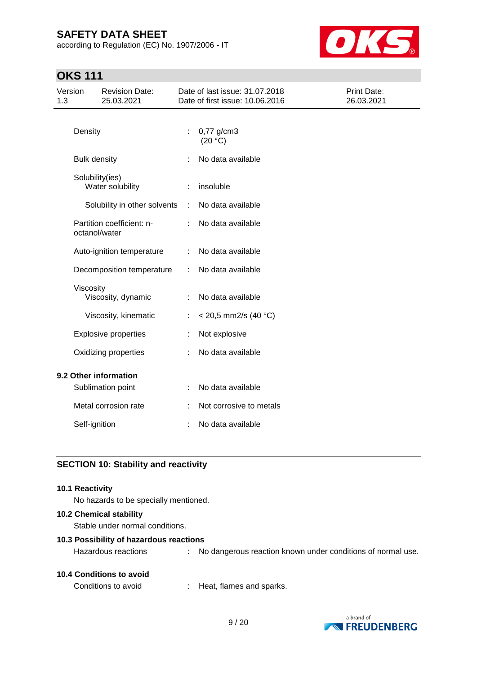according to Regulation (EC) No. 1907/2006 - IT



# **OKS 111**

| Version<br>1.3        |                     | <b>Revision Date:</b><br>25.03.2021 |   | Date of last issue: 31.07.2018<br>Date of first issue: 10.06.2016 | Print Date:<br>26.03.2021 |
|-----------------------|---------------------|-------------------------------------|---|-------------------------------------------------------------------|---------------------------|
|                       |                     |                                     |   |                                                                   |                           |
|                       | Density             |                                     | ÷ | 0,77 g/cm3<br>(20 °C)                                             |                           |
|                       | <b>Bulk density</b> |                                     |   | No data available                                                 |                           |
|                       | Solubility(ies)     | Water solubility                    |   | insoluble                                                         |                           |
|                       |                     | Solubility in other solvents        | ÷ | No data available                                                 |                           |
|                       | octanol/water       | Partition coefficient: n-           |   | No data available                                                 |                           |
|                       |                     | Auto-ignition temperature           | ÷ | No data available                                                 |                           |
|                       |                     | Decomposition temperature           |   | No data available                                                 |                           |
|                       | Viscosity           | Viscosity, dynamic                  |   | No data available                                                 |                           |
|                       |                     | Viscosity, kinematic                |   | $<$ 20,5 mm2/s (40 °C)                                            |                           |
|                       |                     | <b>Explosive properties</b>         |   | Not explosive                                                     |                           |
|                       |                     | Oxidizing properties                |   | No data available                                                 |                           |
| 9.2 Other information |                     |                                     |   |                                                                   |                           |
|                       |                     | Sublimation point                   |   | No data available                                                 |                           |
|                       |                     | Metal corrosion rate                |   | Not corrosive to metals                                           |                           |
|                       | Self-ignition       |                                     |   | No data available                                                 |                           |

### **SECTION 10: Stability and reactivity**

#### **10.1 Reactivity**

No hazards to be specially mentioned.

#### **10.2 Chemical stability**

Stable under normal conditions.

#### **10.3 Possibility of hazardous reactions**

Conditions to avoid : Heat, flames and sparks.



Hazardous reactions : No dangerous reaction known under conditions of normal use.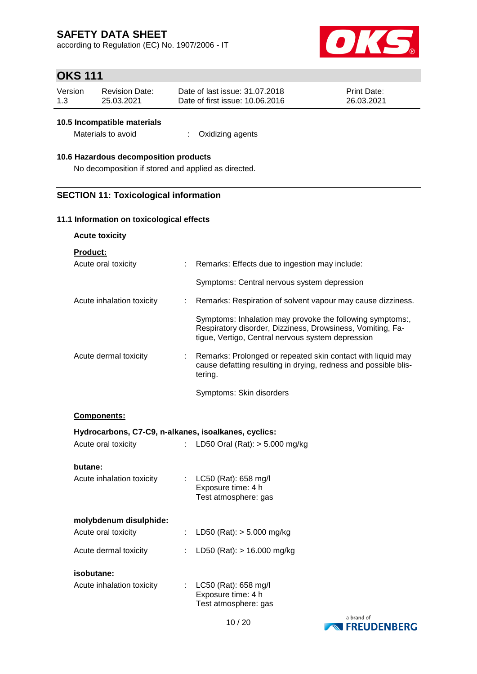according to Regulation (EC) No. 1907/2006 - IT



### **OKS 111**

| Version | Revision Date: | Date of last issue: 31.07.2018  | <b>Print Date:</b> |
|---------|----------------|---------------------------------|--------------------|
| 1.3     | 25.03.2021     | Date of first issue: 10.06.2016 | 26.03.2021         |

#### **10.5 Incompatible materials**

Materials to avoid : Oxidizing agents

#### **10.6 Hazardous decomposition products**

No decomposition if stored and applied as directed.

#### **SECTION 11: Toxicological information**

#### **11.1 Information on toxicological effects**

**Acute toxicity**

**Product:**

| Acute oral toxicity                                  |    | Remarks: Effects due to ingestion may include:                                                                                                                               |
|------------------------------------------------------|----|------------------------------------------------------------------------------------------------------------------------------------------------------------------------------|
|                                                      |    | Symptoms: Central nervous system depression                                                                                                                                  |
| Acute inhalation toxicity                            | ÷. | Remarks: Respiration of solvent vapour may cause dizziness.                                                                                                                  |
|                                                      |    | Symptoms: Inhalation may provoke the following symptoms:,<br>Respiratory disorder, Dizziness, Drowsiness, Vomiting, Fa-<br>tigue, Vertigo, Central nervous system depression |
| Acute dermal toxicity                                | ÷. | Remarks: Prolonged or repeated skin contact with liquid may<br>cause defatting resulting in drying, redness and possible blis-<br>tering.                                    |
|                                                      |    | Symptoms: Skin disorders                                                                                                                                                     |
| Components:                                          |    |                                                                                                                                                                              |
| Hydrocarbons, C7-C9, n-alkanes, isoalkanes, cyclics: |    |                                                                                                                                                                              |
| Acute oral toxicity                                  |    | LD50 Oral (Rat): $> 5.000$ mg/kg                                                                                                                                             |
| butane:                                              |    |                                                                                                                                                                              |
| Acute inhalation toxicity                            |    | : $LC50$ (Rat): 658 mg/l<br>Exposure time: 4 h<br>Test atmosphere: gas                                                                                                       |
| molybdenum disulphide:                               |    |                                                                                                                                                                              |
| Acute oral toxicity                                  |    | LD50 (Rat): $> 5.000$ mg/kg                                                                                                                                                  |
| Acute dermal toxicity                                |    | LD50 (Rat): > 16.000 mg/kg                                                                                                                                                   |
| isobutane:                                           |    |                                                                                                                                                                              |
| Acute inhalation toxicity                            | ÷. | LC50 (Rat): 658 mg/l<br>Exposure time: 4 h<br>Test atmosphere: gas                                                                                                           |
|                                                      |    |                                                                                                                                                                              |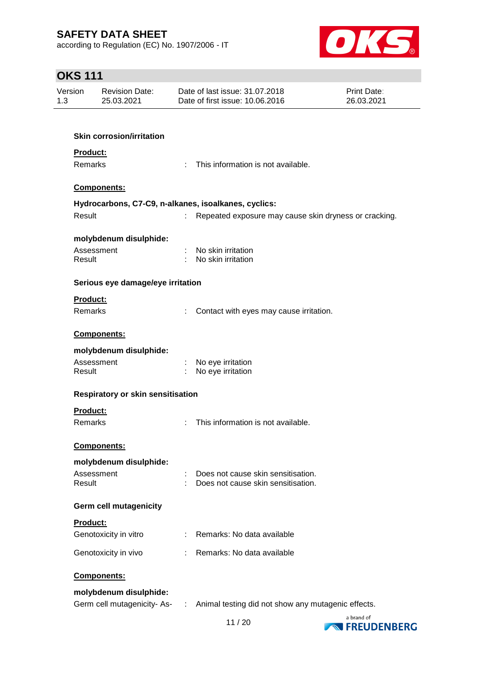according to Regulation (EC) No. 1907/2006 - IT



| <b>OKS 111</b> |                      |                                     |   |                                                                                  |                           |
|----------------|----------------------|-------------------------------------|---|----------------------------------------------------------------------------------|---------------------------|
| Version<br>1.3 |                      | <b>Revision Date:</b><br>25.03.2021 |   | Date of last issue: 31.07.2018<br>Date of first issue: 10.06.2016                | Print Date:<br>26.03.2021 |
|                |                      |                                     |   |                                                                                  |                           |
|                |                      | <b>Skin corrosion/irritation</b>    |   |                                                                                  |                           |
|                | Product:             |                                     |   |                                                                                  |                           |
|                | Remarks              |                                     | ÷ | This information is not available.                                               |                           |
|                |                      | Components:                         |   |                                                                                  |                           |
|                |                      |                                     |   | Hydrocarbons, C7-C9, n-alkanes, isoalkanes, cyclics:                             |                           |
|                | Result               |                                     |   | Repeated exposure may cause skin dryness or cracking.                            |                           |
|                |                      | molybdenum disulphide:              |   |                                                                                  |                           |
|                | Result               | Assessment                          |   | No skin irritation<br>No skin irritation                                         |                           |
|                |                      |                                     |   |                                                                                  |                           |
|                |                      | Serious eye damage/eye irritation   |   |                                                                                  |                           |
|                | Product:             |                                     |   |                                                                                  |                           |
|                | <b>Remarks</b>       |                                     |   | Contact with eyes may cause irritation.                                          |                           |
|                |                      | <b>Components:</b>                  |   |                                                                                  |                           |
|                |                      | molybdenum disulphide:              |   |                                                                                  |                           |
|                | Assessment<br>Result |                                     |   | No eye irritation<br>No eye irritation                                           |                           |
|                |                      | Respiratory or skin sensitisation   |   |                                                                                  |                           |
|                | <b>Product:</b>      |                                     |   |                                                                                  |                           |
|                | Remarks              |                                     |   | This information is not available.                                               |                           |
|                |                      | <b>Components:</b>                  |   |                                                                                  |                           |
|                |                      | molybdenum disulphide:              |   |                                                                                  |                           |
|                | Assessment<br>Result |                                     |   | Does not cause skin sensitisation.<br>Does not cause skin sensitisation.         |                           |
|                |                      |                                     |   |                                                                                  |                           |
|                |                      | <b>Germ cell mutagenicity</b>       |   |                                                                                  |                           |
|                | Product:             |                                     |   |                                                                                  |                           |
|                |                      | Genotoxicity in vitro               | ÷ | Remarks: No data available                                                       |                           |
|                |                      | Genotoxicity in vivo                |   | Remarks: No data available                                                       |                           |
|                |                      | <b>Components:</b>                  |   |                                                                                  |                           |
|                |                      | molybdenum disulphide:              |   |                                                                                  |                           |
|                |                      |                                     |   | Germ cell mutagenicity- As- : Animal testing did not show any mutagenic effects. |                           |

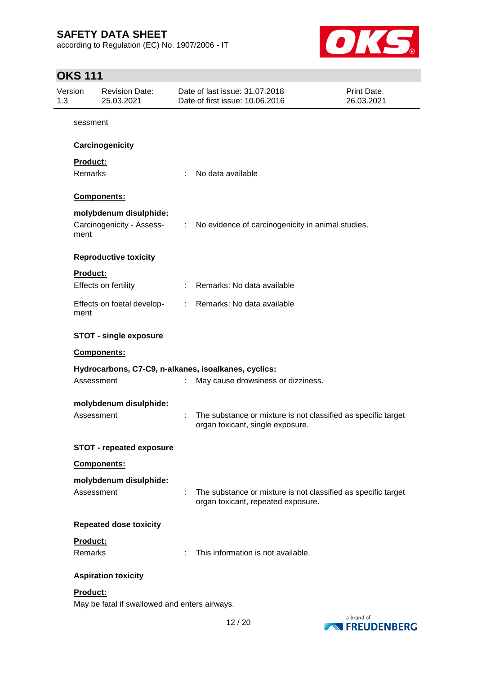according to Regulation (EC) No. 1907/2006 - IT



### **OKS 111**

| Version<br>1.3  | <b>Revision Date:</b><br>25.03.2021           |   | Date of last issue: 31.07.2018<br>Date of first issue: 10.06.2016                                   | <b>Print Date:</b><br>26.03.2021 |
|-----------------|-----------------------------------------------|---|-----------------------------------------------------------------------------------------------------|----------------------------------|
| sessment        |                                               |   |                                                                                                     |                                  |
|                 | Carcinogenicity                               |   |                                                                                                     |                                  |
| Product:        |                                               |   |                                                                                                     |                                  |
| Remarks         |                                               | ÷ | No data available                                                                                   |                                  |
|                 | Components:                                   |   |                                                                                                     |                                  |
|                 | molybdenum disulphide:                        |   |                                                                                                     |                                  |
| ment            | Carcinogenicity - Assess-                     |   | : No evidence of carcinogenicity in animal studies.                                                 |                                  |
|                 | <b>Reproductive toxicity</b>                  |   |                                                                                                     |                                  |
| <b>Product:</b> |                                               |   |                                                                                                     |                                  |
|                 | Effects on fertility                          |   | Remarks: No data available                                                                          |                                  |
| ment            | Effects on foetal develop-                    |   | : Remarks: No data available                                                                        |                                  |
|                 | <b>STOT - single exposure</b>                 |   |                                                                                                     |                                  |
|                 | <b>Components:</b>                            |   |                                                                                                     |                                  |
|                 |                                               |   | Hydrocarbons, C7-C9, n-alkanes, isoalkanes, cyclics:                                                |                                  |
|                 | Assessment                                    |   | May cause drowsiness or dizziness.                                                                  |                                  |
|                 | molybdenum disulphide:                        |   |                                                                                                     |                                  |
|                 | Assessment                                    |   | The substance or mixture is not classified as specific target<br>organ toxicant, single exposure.   |                                  |
|                 | <b>STOT - repeated exposure</b>               |   |                                                                                                     |                                  |
|                 | <b>Components:</b>                            |   |                                                                                                     |                                  |
|                 | molybdenum disulphide:                        |   |                                                                                                     |                                  |
|                 | Assessment                                    | ÷ | The substance or mixture is not classified as specific target<br>organ toxicant, repeated exposure. |                                  |
|                 | <b>Repeated dose toxicity</b>                 |   |                                                                                                     |                                  |
| <b>Product:</b> |                                               |   |                                                                                                     |                                  |
| Remarks         |                                               |   | This information is not available.                                                                  |                                  |
|                 | <b>Aspiration toxicity</b>                    |   |                                                                                                     |                                  |
| <b>Product:</b> | May be fatal if swallowed and enters airways. |   |                                                                                                     |                                  |

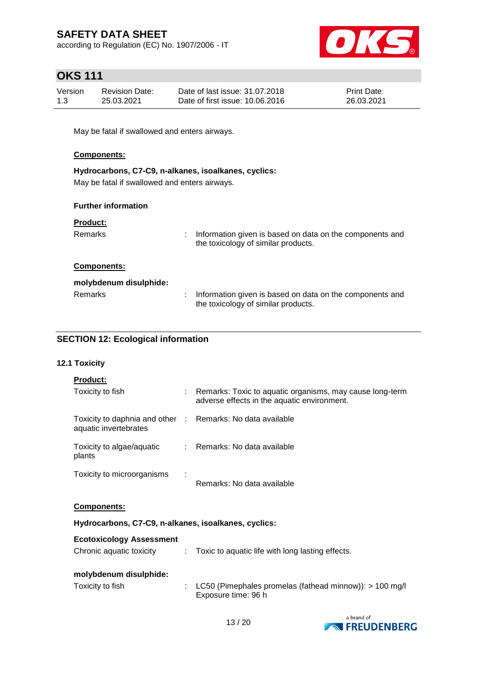according to Regulation (EC) No. 1907/2006 - IT



### **OKS 111**

| Version | Revision Date: | Date of last issue: 31.07.2018  | <b>Print Date:</b> |
|---------|----------------|---------------------------------|--------------------|
| 1.3     | 25.03.2021     | Date of first issue: 10.06.2016 | 26.03.2021         |

May be fatal if swallowed and enters airways.

#### **Components:**

| Hydrocarbons, C7-C9, n-alkanes, isoalkanes, cyclics: |
|------------------------------------------------------|
| May be fatal if swallowed and enters airways.        |

#### **Further information**

#### **Product:**

| Remarks                | Information given is based on data on the components and<br>the toxicology of similar products. |
|------------------------|-------------------------------------------------------------------------------------------------|
| <b>Components:</b>     |                                                                                                 |
| molybdenum disulphide: |                                                                                                 |
| Remarks                | Information given is based on data on the components and                                        |

the toxicology of similar products.

#### **SECTION 12: Ecological information**

#### **12.1 Toxicity**

|--|

| Toxicity to fish                                                                    |   | : Remarks: Toxic to aquatic organisms, may cause long-term<br>adverse effects in the aquatic environment. |
|-------------------------------------------------------------------------------------|---|-----------------------------------------------------------------------------------------------------------|
| Toxicity to daphnia and other : Remarks: No data available<br>aquatic invertebrates |   |                                                                                                           |
| Toxicity to algae/aquatic<br>plants                                                 |   | : Remarks: No data available                                                                              |
| Toxicity to microorganisms                                                          | ÷ | Remarks: No data available                                                                                |

#### **Components:**

**Hydrocarbons, C7-C9, n-alkanes, isoalkanes, cyclics:**

| Chronic aquatic toxicity |  | Toxic to aquatic life with long lasting effects. |
|--------------------------|--|--------------------------------------------------|
|--------------------------|--|--------------------------------------------------|

#### **molybdenum disulphide:**

| Toxicity to fish | : LC50 (Pimephales promelas (fathead minnow)): $> 100$ mg/l |
|------------------|-------------------------------------------------------------|
|                  | Exposure time: 96 h                                         |

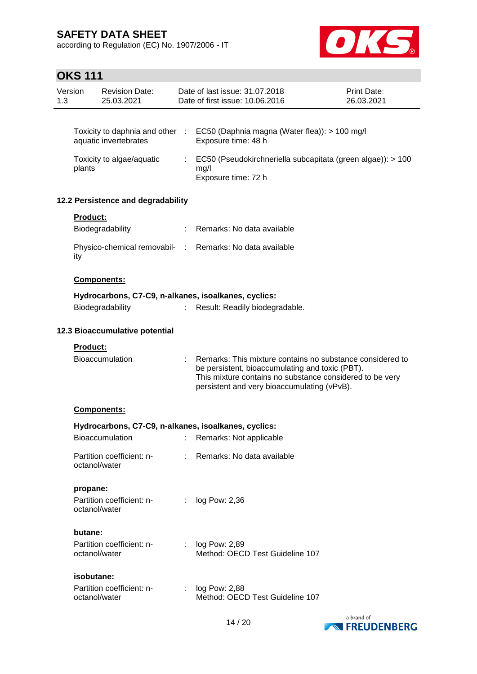according to Regulation (EC) No. 1907/2006 - IT



# **OKS 111**

| 1.3 | Version         | <b>Revision Date:</b><br>25.03.2021 |    | Date of last issue: 31.07.2018<br>Date of first issue: 10.06.2016                                                                                                                                                       | Print Date:<br>26.03.2021 |
|-----|-----------------|-------------------------------------|----|-------------------------------------------------------------------------------------------------------------------------------------------------------------------------------------------------------------------------|---------------------------|
|     |                 |                                     |    |                                                                                                                                                                                                                         |                           |
|     |                 | aquatic invertebrates               |    | Toxicity to daphnia and other : EC50 (Daphnia magna (Water flea)): > 100 mg/l<br>Exposure time: 48 h                                                                                                                    |                           |
|     | plants          | Toxicity to algae/aquatic           |    | : EC50 (Pseudokirchneriella subcapitata (green algae)): > 100<br>mg/l<br>Exposure time: 72 h                                                                                                                            |                           |
|     |                 | 12.2 Persistence and degradability  |    |                                                                                                                                                                                                                         |                           |
|     | Product:        |                                     |    |                                                                                                                                                                                                                         |                           |
|     |                 | Biodegradability                    |    | : Remarks: No data available                                                                                                                                                                                            |                           |
|     | ity             |                                     |    | Physico-chemical removabil- : Remarks: No data available                                                                                                                                                                |                           |
|     |                 | Components:                         |    |                                                                                                                                                                                                                         |                           |
|     |                 |                                     |    | Hydrocarbons, C7-C9, n-alkanes, isoalkanes, cyclics:                                                                                                                                                                    |                           |
|     |                 | Biodegradability                    | t. | Result: Readily biodegradable.                                                                                                                                                                                          |                           |
|     |                 | 12.3 Bioaccumulative potential      |    |                                                                                                                                                                                                                         |                           |
|     | <b>Product:</b> |                                     |    |                                                                                                                                                                                                                         |                           |
|     |                 | <b>Bioaccumulation</b>              |    | Remarks: This mixture contains no substance considered to<br>be persistent, bioaccumulating and toxic (PBT).<br>This mixture contains no substance considered to be very<br>persistent and very bioaccumulating (vPvB). |                           |
|     |                 | Components:                         |    |                                                                                                                                                                                                                         |                           |
|     |                 |                                     |    | Hydrocarbons, C7-C9, n-alkanes, isoalkanes, cyclics:                                                                                                                                                                    |                           |
|     |                 | Bioaccumulation                     |    | : Remarks: Not applicable                                                                                                                                                                                               |                           |
|     | octanol/water   | Partition coefficient: n-           |    | : Remarks: No data available                                                                                                                                                                                            |                           |
|     | propane:        |                                     |    |                                                                                                                                                                                                                         |                           |
|     | octanol/water   | Partition coefficient: n-           | ÷. | log Pow: 2,36                                                                                                                                                                                                           |                           |
|     | butane:         |                                     |    |                                                                                                                                                                                                                         |                           |
|     | octanol/water   | Partition coefficient: n-           | ÷  | log Pow: 2,89<br>Method: OECD Test Guideline 107                                                                                                                                                                        |                           |
|     | isobutane:      |                                     |    |                                                                                                                                                                                                                         |                           |
|     | octanol/water   | Partition coefficient: n-           |    | log Pow: 2,88<br>Method: OECD Test Guideline 107                                                                                                                                                                        |                           |

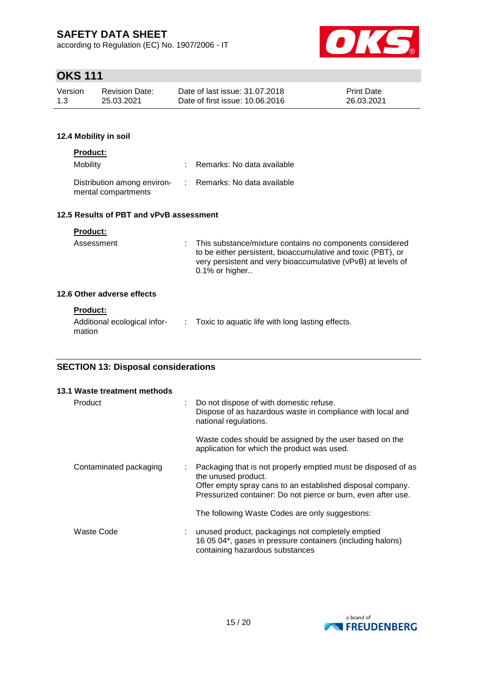according to Regulation (EC) No. 1907/2006 - IT



# **OKS 111**

| Version | Revision Date: | Date of last issue: 31.07.2018  | <b>Print Date:</b> |
|---------|----------------|---------------------------------|--------------------|
| 1.3     | 25.03.2021     | Date of first issue: 10.06.2016 | 26.03.2021         |

#### **12.4 Mobility in soil**

#### **Product:**

| Assessment              | t i | This substance/mixture contains no components considered<br>to be either persistent, bioaccumulative and toxic (PBT), or<br>very persistent and very bioaccumulative (vPvB) at levels of<br>$0.1\%$ or higher |
|-------------------------|-----|---------------------------------------------------------------------------------------------------------------------------------------------------------------------------------------------------------------|
| 6 Other adverse effects |     |                                                                                                                                                                                                               |
|                         |     |                                                                                                                                                                                                               |

# $12.6$

| <b>Product:</b>                        |                                                  |
|----------------------------------------|--------------------------------------------------|
| Additional ecological infor-<br>mation | Toxic to aquatic life with long lasting effects. |

#### **SECTION 13: Disposal considerations**

|         | 13.1 Waste treatment methods |                                                                                                                                                                                                                       |
|---------|------------------------------|-----------------------------------------------------------------------------------------------------------------------------------------------------------------------------------------------------------------------|
| Product |                              | : Do not dispose of with domestic refuse.<br>Dispose of as hazardous waste in compliance with local and<br>national regulations.                                                                                      |
|         |                              | Waste codes should be assigned by the user based on the<br>application for which the product was used.                                                                                                                |
|         | Contaminated packaging       | : Packaging that is not properly emptied must be disposed of as<br>the unused product.<br>Offer empty spray cans to an established disposal company.<br>Pressurized container: Do not pierce or burn, even after use. |
|         |                              | The following Waste Codes are only suggestions:                                                                                                                                                                       |
|         | Waste Code                   | unused product, packagings not completely emptied<br>16 05 04*, gases in pressure containers (including halons)<br>containing hazardous substances                                                                    |

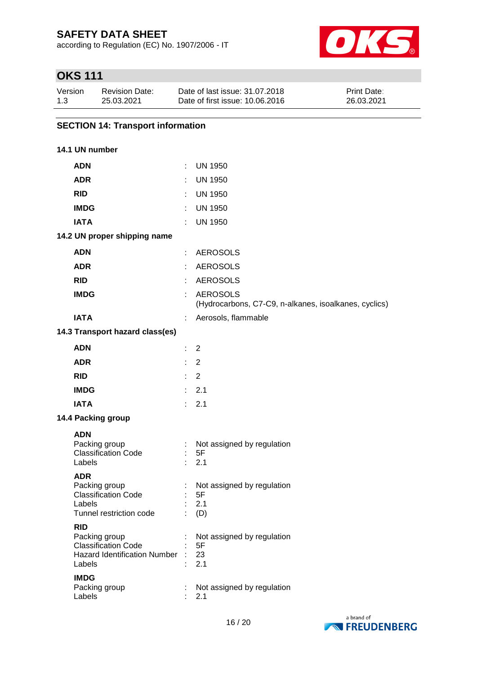according to Regulation (EC) No. 1907/2006 - IT



# **OKS 111**

| Version | Revision Date: | Date of last issue: 31.07.2018  | <b>Print Date:</b> |
|---------|----------------|---------------------------------|--------------------|
| 1.3     | 25.03.2021     | Date of first issue: 10.06.2016 | 26.03.2021         |

### **SECTION 14: Transport information**

#### **14.1 UN number**

| <b>ADN</b>                                                                                                                | ÷.                          | <b>UN 1950</b>                                                           |
|---------------------------------------------------------------------------------------------------------------------------|-----------------------------|--------------------------------------------------------------------------|
| <b>ADR</b>                                                                                                                |                             | <b>UN 1950</b>                                                           |
| <b>RID</b>                                                                                                                | t.                          | <b>UN 1950</b>                                                           |
| <b>IMDG</b>                                                                                                               | ÷.                          | <b>UN 1950</b>                                                           |
| <b>IATA</b>                                                                                                               | ÷.                          | <b>UN 1950</b>                                                           |
| 14.2 UN proper shipping name                                                                                              |                             |                                                                          |
| <b>ADN</b>                                                                                                                | ÷.                          | <b>AEROSOLS</b>                                                          |
| <b>ADR</b>                                                                                                                |                             | <b>AEROSOLS</b>                                                          |
| <b>RID</b>                                                                                                                | ÷.                          | <b>AEROSOLS</b>                                                          |
| <b>IMDG</b>                                                                                                               | ÷.                          | <b>AEROSOLS</b><br>(Hydrocarbons, C7-C9, n-alkanes, isoalkanes, cyclics) |
| <b>IATA</b>                                                                                                               | t.                          | Aerosols, flammable                                                      |
| 14.3 Transport hazard class(es)                                                                                           |                             |                                                                          |
| <b>ADN</b>                                                                                                                | ÷.                          | 2                                                                        |
| <b>ADR</b>                                                                                                                | ÷.                          | $\overline{2}$                                                           |
| <b>RID</b>                                                                                                                | $\mathcal{L}^{\mathcal{L}}$ | $\overline{2}$                                                           |
| <b>IMDG</b>                                                                                                               |                             | : 2.1                                                                    |
| <b>IATA</b>                                                                                                               |                             | : 2.1                                                                    |
| 14.4 Packing group                                                                                                        |                             |                                                                          |
| <b>ADN</b><br>Packing group<br><b>Classification Code</b><br>Labels                                                       | Đ.                          | Not assigned by regulation<br>5F<br>2.1                                  |
| <b>ADR</b><br>Packing group<br><b>Classification Code</b><br>Labels<br>Tunnel restriction code                            | ÷.                          | Not assigned by regulation<br>5F<br>2.1<br>(D)                           |
| <b>RID</b><br>Packing group<br><b>Classification Code</b><br><b>Hazard Identification Number</b><br>Labels<br><b>IMDG</b> |                             | Not assigned by regulation<br>5F<br>23<br>2.1                            |
| Packing group<br>Labels                                                                                                   | t                           | Not assigned by regulation<br>2.1                                        |

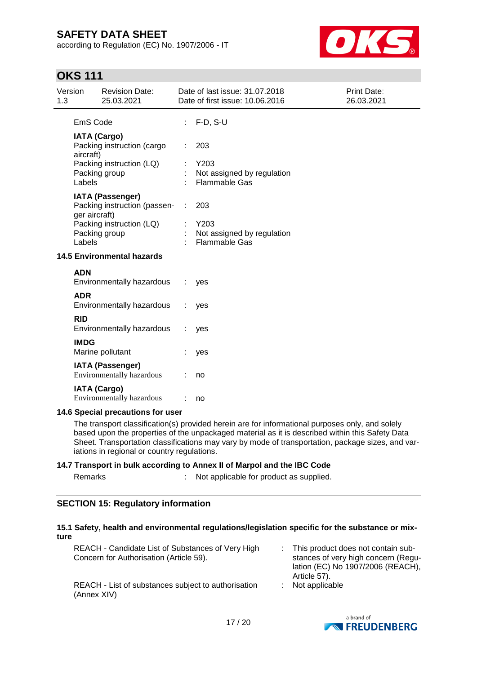according to Regulation (EC) No. 1907/2006 - IT



### **OKS 111**

| 1.3 | Version                 | <b>Revision Date:</b><br>25.03.2021                                                                  |   | Date of last issue: 31.07.2018<br>Date of first issue: 10.06.2016 | Print Date:<br>26.03.2021 |
|-----|-------------------------|------------------------------------------------------------------------------------------------------|---|-------------------------------------------------------------------|---------------------------|
|     | EmS Code                |                                                                                                      |   | $F-D$ , $S-U$                                                     |                           |
|     | aircraft)<br>Labels     | <b>IATA (Cargo)</b><br>Packing instruction (cargo<br>Packing instruction (LQ)<br>Packing group       |   | 203<br>Y203<br>Not assigned by regulation<br><b>Flammable Gas</b> |                           |
|     | ger aircraft)<br>Labels | <b>IATA (Passenger)</b><br>Packing instruction (passen-<br>Packing instruction (LQ)<br>Packing group | ÷ | 203<br>Y203<br>Not assigned by regulation<br><b>Flammable Gas</b> |                           |
|     |                         | <b>14.5 Environmental hazards</b>                                                                    |   |                                                                   |                           |
|     | <b>ADN</b>              | Environmentally hazardous                                                                            |   | yes                                                               |                           |
|     | <b>ADR</b>              | Environmentally hazardous                                                                            |   | yes                                                               |                           |
|     | <b>RID</b>              | Environmentally hazardous                                                                            |   | yes                                                               |                           |
|     | <b>IMDG</b>             | Marine pollutant                                                                                     |   | yes                                                               |                           |
|     |                         | <b>IATA (Passenger)</b><br><b>Environmentally hazardous</b>                                          |   | no                                                                |                           |
|     |                         | <b>IATA (Cargo)</b><br>Environmentally hazardous                                                     |   | no                                                                |                           |
|     |                         | 14.6 Special precautions for user                                                                    |   |                                                                   |                           |

The transport classification(s) provided herein are for informational purposes only, and solely based upon the properties of the unpackaged material as it is described within this Safety Data Sheet. Transportation classifications may vary by mode of transportation, package sizes, and variations in regional or country regulations.

#### **14.7 Transport in bulk according to Annex II of Marpol and the IBC Code**

| Remarks | Not applicable for product as supplied. |
|---------|-----------------------------------------|
|         |                                         |

#### **SECTION 15: Regulatory information**

#### **15.1 Safety, health and environmental regulations/legislation specific for the substance or mixture**

| REACH - Candidate List of Substances of Very High<br>Concern for Authorisation (Article 59). | : This product does not contain sub-<br>stances of very high concern (Regu-<br>lation (EC) No 1907/2006 (REACH),<br>Article 57). |
|----------------------------------------------------------------------------------------------|----------------------------------------------------------------------------------------------------------------------------------|
| REACH - List of substances subject to authorisation<br>(Annex XIV)                           | $:$ Not applicable                                                                                                               |

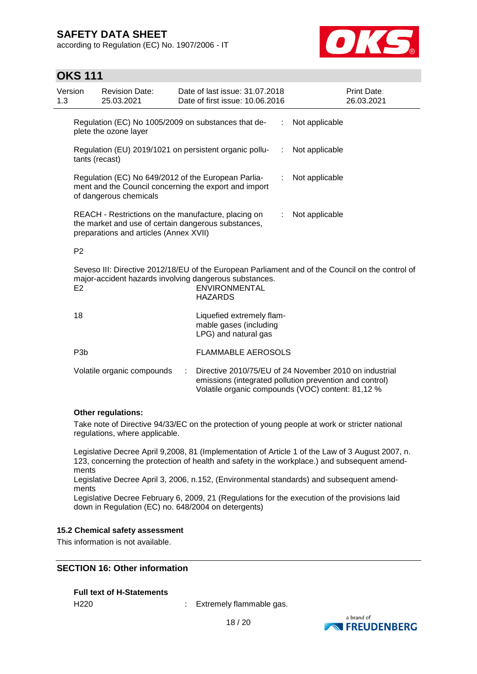according to Regulation (EC) No. 1907/2006 - IT



### **OKS 111**

| Version<br>1.3 |                                                                                                                                                                                                                        | <b>Revision Date:</b><br>25.03.2021                                          |  | Date of last issue: 31.07.2018<br>Date of first issue: 10.06.2016           |    | <b>Print Date:</b><br>26.03.2021 |
|----------------|------------------------------------------------------------------------------------------------------------------------------------------------------------------------------------------------------------------------|------------------------------------------------------------------------------|--|-----------------------------------------------------------------------------|----|----------------------------------|
|                |                                                                                                                                                                                                                        | Regulation (EC) No 1005/2009 on substances that de-<br>plete the ozone layer |  |                                                                             |    | Not applicable                   |
|                | Regulation (EU) 2019/1021 on persistent organic pollu-<br>tants (recast)                                                                                                                                               |                                                                              |  |                                                                             | ÷  | Not applicable                   |
|                | Regulation (EC) No 649/2012 of the European Parlia-<br>ment and the Council concerning the export and import<br>of dangerous chemicals                                                                                 |                                                                              |  |                                                                             |    | Not applicable                   |
|                | REACH - Restrictions on the manufacture, placing on<br>the market and use of certain dangerous substances,<br>preparations and articles (Annex XVII)                                                                   |                                                                              |  |                                                                             | ÷. | Not applicable                   |
|                | P <sub>2</sub>                                                                                                                                                                                                         |                                                                              |  |                                                                             |    |                                  |
|                | Seveso III: Directive 2012/18/EU of the European Parliament and of the Council on the control of<br>major-accident hazards involving dangerous substances.<br><b>ENVIRONMENTAL</b><br>E <sub>2</sub><br><b>HAZARDS</b> |                                                                              |  |                                                                             |    |                                  |
|                | 18                                                                                                                                                                                                                     |                                                                              |  | Liquefied extremely flam-<br>mable gases (including<br>LPG) and natural gas |    |                                  |
|                | P <sub>3</sub> b                                                                                                                                                                                                       |                                                                              |  | <b>FLAMMABLE AEROSOLS</b>                                                   |    |                                  |
|                | Volatile organic compounds<br>Directive 2010/75/EU of 24 November 2010 on industrial<br>÷<br>emissions (integrated pollution prevention and control)<br>Volatile organic compounds (VOC) content: 81,12 %              |                                                                              |  |                                                                             |    |                                  |

#### **Other regulations:**

Take note of Directive 94/33/EC on the protection of young people at work or stricter national regulations, where applicable.

Legislative Decree April 9,2008, 81 (Implementation of Article 1 of the Law of 3 August 2007, n. 123, concerning the protection of health and safety in the workplace.) and subsequent amendments

Legislative Decree April 3, 2006, n.152, (Environmental standards) and subsequent amendments

Legislative Decree February 6, 2009, 21 (Regulations for the execution of the provisions laid down in Regulation (EC) no. 648/2004 on detergents)

#### **15.2 Chemical safety assessment**

This information is not available.

#### **SECTION 16: Other information**

# **Full text of H-Statements**

H220 : Extremely flammable gas.

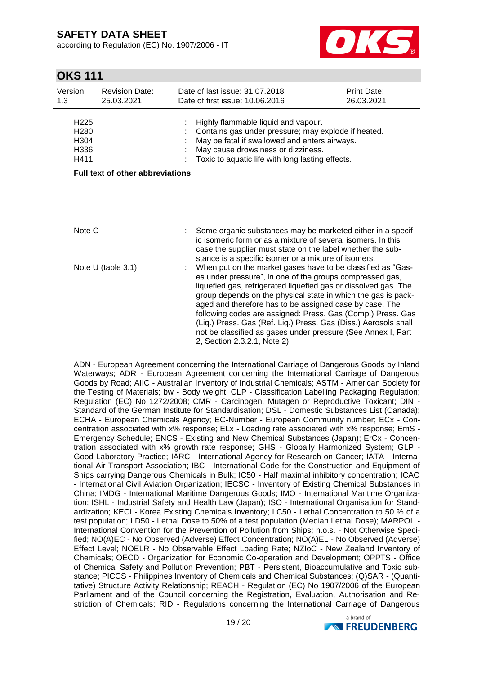according to Regulation (EC) No. 1907/2006 - IT



### **OKS 111**

| Version<br>1.3                                               | <b>Revision Date:</b><br>25.03.2021     | Date of last issue: 31.07.2018<br>Date of first issue: 10.06.2016                                                                                                                                                                                                                                                                                                                                                                                                                         | Print Date:<br>26.03.2021 |
|--------------------------------------------------------------|-----------------------------------------|-------------------------------------------------------------------------------------------------------------------------------------------------------------------------------------------------------------------------------------------------------------------------------------------------------------------------------------------------------------------------------------------------------------------------------------------------------------------------------------------|---------------------------|
| H <sub>225</sub><br>H <sub>280</sub><br>H304<br>H336<br>H411 |                                         | Highly flammable liquid and vapour.<br>Contains gas under pressure; may explode if heated.<br>May be fatal if swallowed and enters airways.<br>May cause drowsiness or dizziness.<br>Toxic to aquatic life with long lasting effects.                                                                                                                                                                                                                                                     |                           |
|                                                              | <b>Full text of other abbreviations</b> |                                                                                                                                                                                                                                                                                                                                                                                                                                                                                           |                           |
| Note C                                                       |                                         | Some organic substances may be marketed either in a specif-                                                                                                                                                                                                                                                                                                                                                                                                                               |                           |
|                                                              | Note U (table 3.1)                      | ic isomeric form or as a mixture of several isomers. In this<br>case the supplier must state on the label whether the sub-<br>stance is a specific isomer or a mixture of isomers.<br>When put on the market gases have to be classified as "Gas-                                                                                                                                                                                                                                         |                           |
|                                                              |                                         | es under pressure", in one of the groups compressed gas,<br>liquefied gas, refrigerated liquefied gas or dissolved gas. The<br>group depends on the physical state in which the gas is pack-<br>aged and therefore has to be assigned case by case. The<br>following codes are assigned: Press. Gas (Comp.) Press. Gas<br>(Liq.) Press. Gas (Ref. Liq.) Press. Gas (Diss.) Aerosols shall<br>not be classified as gases under pressure (See Annex I, Part<br>2, Section 2.3.2.1, Note 2). |                           |

ADN - European Agreement concerning the International Carriage of Dangerous Goods by Inland Waterways; ADR - European Agreement concerning the International Carriage of Dangerous Goods by Road; AIIC - Australian Inventory of Industrial Chemicals; ASTM - American Society for the Testing of Materials; bw - Body weight; CLP - Classification Labelling Packaging Regulation; Regulation (EC) No 1272/2008; CMR - Carcinogen, Mutagen or Reproductive Toxicant; DIN - Standard of the German Institute for Standardisation; DSL - Domestic Substances List (Canada); ECHA - European Chemicals Agency; EC-Number - European Community number; ECx - Concentration associated with x% response; ELx - Loading rate associated with x% response; EmS - Emergency Schedule; ENCS - Existing and New Chemical Substances (Japan); ErCx - Concentration associated with x% growth rate response; GHS - Globally Harmonized System; GLP - Good Laboratory Practice; IARC - International Agency for Research on Cancer; IATA - International Air Transport Association; IBC - International Code for the Construction and Equipment of Ships carrying Dangerous Chemicals in Bulk; IC50 - Half maximal inhibitory concentration; ICAO - International Civil Aviation Organization; IECSC - Inventory of Existing Chemical Substances in China; IMDG - International Maritime Dangerous Goods; IMO - International Maritime Organization; ISHL - Industrial Safety and Health Law (Japan); ISO - International Organisation for Standardization; KECI - Korea Existing Chemicals Inventory; LC50 - Lethal Concentration to 50 % of a test population; LD50 - Lethal Dose to 50% of a test population (Median Lethal Dose); MARPOL - International Convention for the Prevention of Pollution from Ships; n.o.s. - Not Otherwise Specified; NO(A)EC - No Observed (Adverse) Effect Concentration; NO(A)EL - No Observed (Adverse) Effect Level; NOELR - No Observable Effect Loading Rate; NZIoC - New Zealand Inventory of Chemicals; OECD - Organization for Economic Co-operation and Development; OPPTS - Office of Chemical Safety and Pollution Prevention; PBT - Persistent, Bioaccumulative and Toxic substance; PICCS - Philippines Inventory of Chemicals and Chemical Substances; (Q)SAR - (Quantitative) Structure Activity Relationship; REACH - Regulation (EC) No 1907/2006 of the European Parliament and of the Council concerning the Registration, Evaluation, Authorisation and Restriction of Chemicals; RID - Regulations concerning the International Carriage of Dangerous